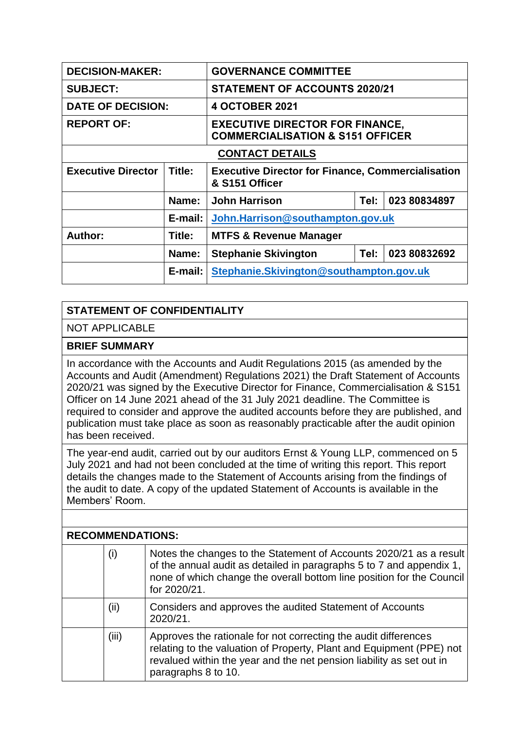| <b>DECISION-MAKER:</b>    |         | <b>GOVERNANCE COMMITTEE</b>                                                           |      |              |  |
|---------------------------|---------|---------------------------------------------------------------------------------------|------|--------------|--|
| <b>SUBJECT:</b>           |         | <b>STATEMENT OF ACCOUNTS 2020/21</b>                                                  |      |              |  |
| <b>DATE OF DECISION:</b>  |         | <b>4 OCTOBER 2021</b>                                                                 |      |              |  |
| <b>REPORT OF:</b>         |         | <b>EXECUTIVE DIRECTOR FOR FINANCE,</b><br><b>COMMERCIALISATION &amp; S151 OFFICER</b> |      |              |  |
| <b>CONTACT DETAILS</b>    |         |                                                                                       |      |              |  |
| <b>Executive Director</b> | Title:  | <b>Executive Director for Finance, Commercialisation</b><br>& S151 Officer            |      |              |  |
|                           | Name:   | <b>John Harrison</b>                                                                  | Tel: | 023 80834897 |  |
|                           | E-mail: | John.Harrison@southampton.gov.uk                                                      |      |              |  |
| Author:                   | Title:  | <b>MTFS &amp; Revenue Manager</b>                                                     |      |              |  |
|                           | Name:   | <b>Stephanie Skivington</b><br>Tel:<br>023 80832692                                   |      |              |  |
|                           | E-mail: | Stephanie.Skivington@southampton.gov.uk                                               |      |              |  |

## **STATEMENT OF CONFIDENTIALITY**

NOT APPLICABLE

## **BRIEF SUMMARY**

In accordance with the Accounts and Audit Regulations 2015 (as amended by the Accounts and Audit (Amendment) Regulations 2021) the Draft Statement of Accounts 2020/21 was signed by the Executive Director for Finance, Commercialisation & S151 Officer on 14 June 2021 ahead of the 31 July 2021 deadline. The Committee is required to consider and approve the audited accounts before they are published, and publication must take place as soon as reasonably practicable after the audit opinion has been received.

The year-end audit, carried out by our auditors Ernst & Young LLP, commenced on 5 July 2021 and had not been concluded at the time of writing this report. This report details the changes made to the Statement of Accounts arising from the findings of the audit to date. A copy of the updated Statement of Accounts is available in the Members' Room.

| <b>RECOMMENDATIONS:</b> |       |                                                                                                                                                                                                                                        |  |  |
|-------------------------|-------|----------------------------------------------------------------------------------------------------------------------------------------------------------------------------------------------------------------------------------------|--|--|
|                         | (i)   | Notes the changes to the Statement of Accounts 2020/21 as a result<br>of the annual audit as detailed in paragraphs 5 to 7 and appendix 1,<br>none of which change the overall bottom line position for the Council<br>for 2020/21.    |  |  |
|                         | (ii)  | Considers and approves the audited Statement of Accounts<br>2020/21.                                                                                                                                                                   |  |  |
|                         | (iii) | Approves the rationale for not correcting the audit differences<br>relating to the valuation of Property, Plant and Equipment (PPE) not<br>revalued within the year and the net pension liability as set out in<br>paragraphs 8 to 10. |  |  |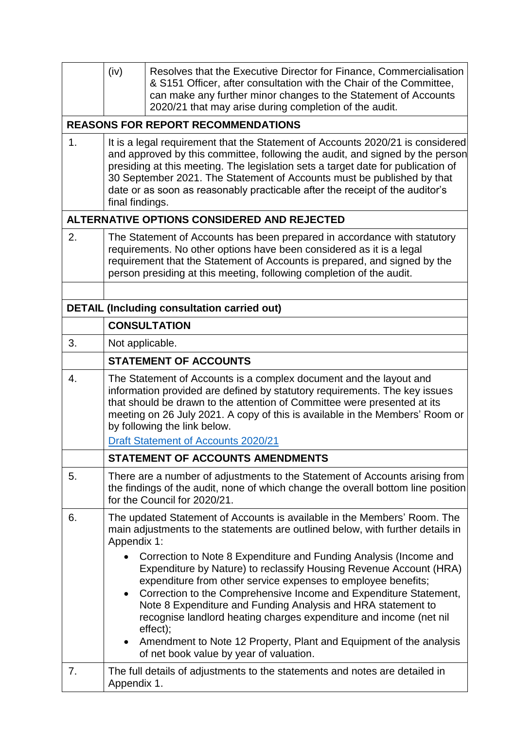|    | (iv)                                                                                                                                                                                                                                                                                                                                                                                                                             | Resolves that the Executive Director for Finance, Commercialisation<br>& S151 Officer, after consultation with the Chair of the Committee,<br>can make any further minor changes to the Statement of Accounts<br>2020/21 that may arise during completion of the audit.                                                                                                                                                                                                                                                                                                                                                         |  |  |
|----|----------------------------------------------------------------------------------------------------------------------------------------------------------------------------------------------------------------------------------------------------------------------------------------------------------------------------------------------------------------------------------------------------------------------------------|---------------------------------------------------------------------------------------------------------------------------------------------------------------------------------------------------------------------------------------------------------------------------------------------------------------------------------------------------------------------------------------------------------------------------------------------------------------------------------------------------------------------------------------------------------------------------------------------------------------------------------|--|--|
|    |                                                                                                                                                                                                                                                                                                                                                                                                                                  | <b>REASONS FOR REPORT RECOMMENDATIONS</b>                                                                                                                                                                                                                                                                                                                                                                                                                                                                                                                                                                                       |  |  |
| 1. | It is a legal requirement that the Statement of Accounts 2020/21 is considered<br>and approved by this committee, following the audit, and signed by the person<br>presiding at this meeting. The legislation sets a target date for publication of<br>30 September 2021. The Statement of Accounts must be published by that<br>date or as soon as reasonably practicable after the receipt of the auditor's<br>final findings. |                                                                                                                                                                                                                                                                                                                                                                                                                                                                                                                                                                                                                                 |  |  |
|    |                                                                                                                                                                                                                                                                                                                                                                                                                                  | ALTERNATIVE OPTIONS CONSIDERED AND REJECTED                                                                                                                                                                                                                                                                                                                                                                                                                                                                                                                                                                                     |  |  |
| 2. |                                                                                                                                                                                                                                                                                                                                                                                                                                  | The Statement of Accounts has been prepared in accordance with statutory<br>requirements. No other options have been considered as it is a legal<br>requirement that the Statement of Accounts is prepared, and signed by the<br>person presiding at this meeting, following completion of the audit.                                                                                                                                                                                                                                                                                                                           |  |  |
|    | <b>DETAIL (Including consultation carried out)</b>                                                                                                                                                                                                                                                                                                                                                                               |                                                                                                                                                                                                                                                                                                                                                                                                                                                                                                                                                                                                                                 |  |  |
|    | <b>CONSULTATION</b>                                                                                                                                                                                                                                                                                                                                                                                                              |                                                                                                                                                                                                                                                                                                                                                                                                                                                                                                                                                                                                                                 |  |  |
| 3. | Not applicable.                                                                                                                                                                                                                                                                                                                                                                                                                  |                                                                                                                                                                                                                                                                                                                                                                                                                                                                                                                                                                                                                                 |  |  |
|    | <b>STATEMENT OF ACCOUNTS</b>                                                                                                                                                                                                                                                                                                                                                                                                     |                                                                                                                                                                                                                                                                                                                                                                                                                                                                                                                                                                                                                                 |  |  |
| 4. | The Statement of Accounts is a complex document and the layout and<br>information provided are defined by statutory requirements. The key issues<br>that should be drawn to the attention of Committee were presented at its<br>meeting on 26 July 2021. A copy of this is available in the Members' Room or<br>by following the link below.                                                                                     |                                                                                                                                                                                                                                                                                                                                                                                                                                                                                                                                                                                                                                 |  |  |
|    | <b>Draft Statement of Accounts 2020/21</b>                                                                                                                                                                                                                                                                                                                                                                                       |                                                                                                                                                                                                                                                                                                                                                                                                                                                                                                                                                                                                                                 |  |  |
|    | <b>STATEMENT OF ACCOUNTS AMENDMENTS</b>                                                                                                                                                                                                                                                                                                                                                                                          |                                                                                                                                                                                                                                                                                                                                                                                                                                                                                                                                                                                                                                 |  |  |
| 5. |                                                                                                                                                                                                                                                                                                                                                                                                                                  | There are a number of adjustments to the Statement of Accounts arising from<br>the findings of the audit, none of which change the overall bottom line position<br>for the Council for 2020/21.                                                                                                                                                                                                                                                                                                                                                                                                                                 |  |  |
| 6. | The updated Statement of Accounts is available in the Members' Room. The<br>main adjustments to the statements are outlined below, with further details in<br>Appendix 1:                                                                                                                                                                                                                                                        |                                                                                                                                                                                                                                                                                                                                                                                                                                                                                                                                                                                                                                 |  |  |
| 7. | $\bullet$<br>$\bullet$                                                                                                                                                                                                                                                                                                                                                                                                           | Correction to Note 8 Expenditure and Funding Analysis (Income and<br>Expenditure by Nature) to reclassify Housing Revenue Account (HRA)<br>expenditure from other service expenses to employee benefits;<br>Correction to the Comprehensive Income and Expenditure Statement,<br>Note 8 Expenditure and Funding Analysis and HRA statement to<br>recognise landlord heating charges expenditure and income (net nil<br>effect);<br>Amendment to Note 12 Property, Plant and Equipment of the analysis<br>of net book value by year of valuation.<br>The full details of adjustments to the statements and notes are detailed in |  |  |
|    | Appendix 1.                                                                                                                                                                                                                                                                                                                                                                                                                      |                                                                                                                                                                                                                                                                                                                                                                                                                                                                                                                                                                                                                                 |  |  |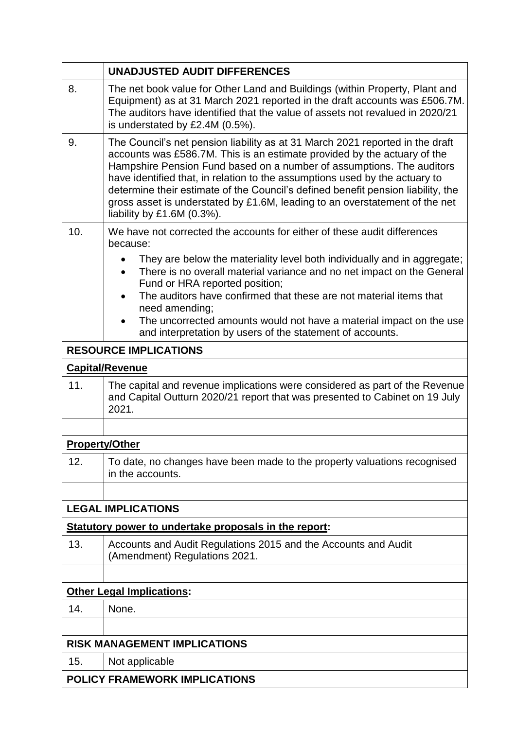|                       | <b>UNADJUSTED AUDIT DIFFERENCES</b>                                                                                                                                                                                                                                                                                                                                                                                                                                                                                |  |  |  |
|-----------------------|--------------------------------------------------------------------------------------------------------------------------------------------------------------------------------------------------------------------------------------------------------------------------------------------------------------------------------------------------------------------------------------------------------------------------------------------------------------------------------------------------------------------|--|--|--|
| 8.                    | The net book value for Other Land and Buildings (within Property, Plant and<br>Equipment) as at 31 March 2021 reported in the draft accounts was £506.7M.<br>The auditors have identified that the value of assets not revalued in 2020/21<br>is understated by £2.4M (0.5%).                                                                                                                                                                                                                                      |  |  |  |
| 9.                    | The Council's net pension liability as at 31 March 2021 reported in the draft<br>accounts was £586.7M. This is an estimate provided by the actuary of the<br>Hampshire Pension Fund based on a number of assumptions. The auditors<br>have identified that, in relation to the assumptions used by the actuary to<br>determine their estimate of the Council's defined benefit pension liability, the<br>gross asset is understated by £1.6M, leading to an overstatement of the net<br>liability by £1.6M (0.3%). |  |  |  |
| 10.                   | We have not corrected the accounts for either of these audit differences<br>because:                                                                                                                                                                                                                                                                                                                                                                                                                               |  |  |  |
|                       | They are below the materiality level both individually and in aggregate;<br>There is no overall material variance and no net impact on the General<br>Fund or HRA reported position;<br>The auditors have confirmed that these are not material items that<br>$\bullet$<br>need amending;<br>The uncorrected amounts would not have a material impact on the use<br>and interpretation by users of the statement of accounts.                                                                                      |  |  |  |
|                       | <b>RESOURCE IMPLICATIONS</b>                                                                                                                                                                                                                                                                                                                                                                                                                                                                                       |  |  |  |
|                       | <b>Capital/Revenue</b>                                                                                                                                                                                                                                                                                                                                                                                                                                                                                             |  |  |  |
| 11.                   | The capital and revenue implications were considered as part of the Revenue<br>and Capital Outturn 2020/21 report that was presented to Cabinet on 19 July<br>2021.                                                                                                                                                                                                                                                                                                                                                |  |  |  |
|                       |                                                                                                                                                                                                                                                                                                                                                                                                                                                                                                                    |  |  |  |
| <b>Property/Other</b> |                                                                                                                                                                                                                                                                                                                                                                                                                                                                                                                    |  |  |  |
| 12.                   | To date, no changes have been made to the property valuations recognised<br>in the accounts.                                                                                                                                                                                                                                                                                                                                                                                                                       |  |  |  |
|                       |                                                                                                                                                                                                                                                                                                                                                                                                                                                                                                                    |  |  |  |
|                       | <b>LEGAL IMPLICATIONS</b>                                                                                                                                                                                                                                                                                                                                                                                                                                                                                          |  |  |  |
|                       | Statutory power to undertake proposals in the report:                                                                                                                                                                                                                                                                                                                                                                                                                                                              |  |  |  |
| 13.                   | Accounts and Audit Regulations 2015 and the Accounts and Audit<br>(Amendment) Regulations 2021.                                                                                                                                                                                                                                                                                                                                                                                                                    |  |  |  |
|                       |                                                                                                                                                                                                                                                                                                                                                                                                                                                                                                                    |  |  |  |
|                       | <b>Other Legal Implications:</b>                                                                                                                                                                                                                                                                                                                                                                                                                                                                                   |  |  |  |
| 14.                   | None.                                                                                                                                                                                                                                                                                                                                                                                                                                                                                                              |  |  |  |
|                       |                                                                                                                                                                                                                                                                                                                                                                                                                                                                                                                    |  |  |  |
|                       | <b>RISK MANAGEMENT IMPLICATIONS</b>                                                                                                                                                                                                                                                                                                                                                                                                                                                                                |  |  |  |
| 15.                   | Not applicable                                                                                                                                                                                                                                                                                                                                                                                                                                                                                                     |  |  |  |
|                       | <b>POLICY FRAMEWORK IMPLICATIONS</b>                                                                                                                                                                                                                                                                                                                                                                                                                                                                               |  |  |  |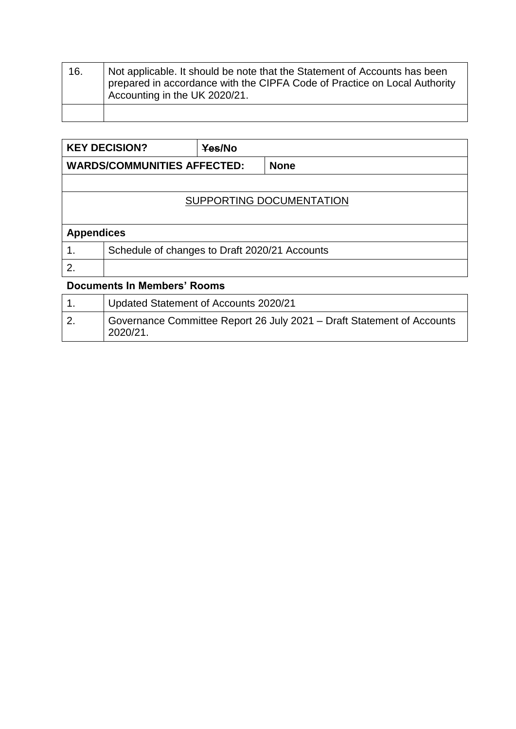| 16. | Not applicable. It should be note that the Statement of Accounts has been<br>prepared in accordance with the CIPFA Code of Practice on Local Authority<br>Accounting in the UK 2020/21. |
|-----|-----------------------------------------------------------------------------------------------------------------------------------------------------------------------------------------|
|     |                                                                                                                                                                                         |

|                                    | <b>KEY DECISION?</b>                          | Yes/No |             |  |  |
|------------------------------------|-----------------------------------------------|--------|-------------|--|--|
| <b>WARDS/COMMUNITIES AFFECTED:</b> |                                               |        | <b>None</b> |  |  |
|                                    |                                               |        |             |  |  |
| SUPPORTING DOCUMENTATION           |                                               |        |             |  |  |
|                                    |                                               |        |             |  |  |
|                                    | <b>Appendices</b>                             |        |             |  |  |
|                                    | Schedule of changes to Draft 2020/21 Accounts |        |             |  |  |
| $\mathbf{2}$                       |                                               |        |             |  |  |

## **Documents In Members' Rooms**

| Updated Statement of Accounts 2020/21                                              |
|------------------------------------------------------------------------------------|
| Governance Committee Report 26 July 2021 – Draft Statement of Accounts<br>2020/21. |